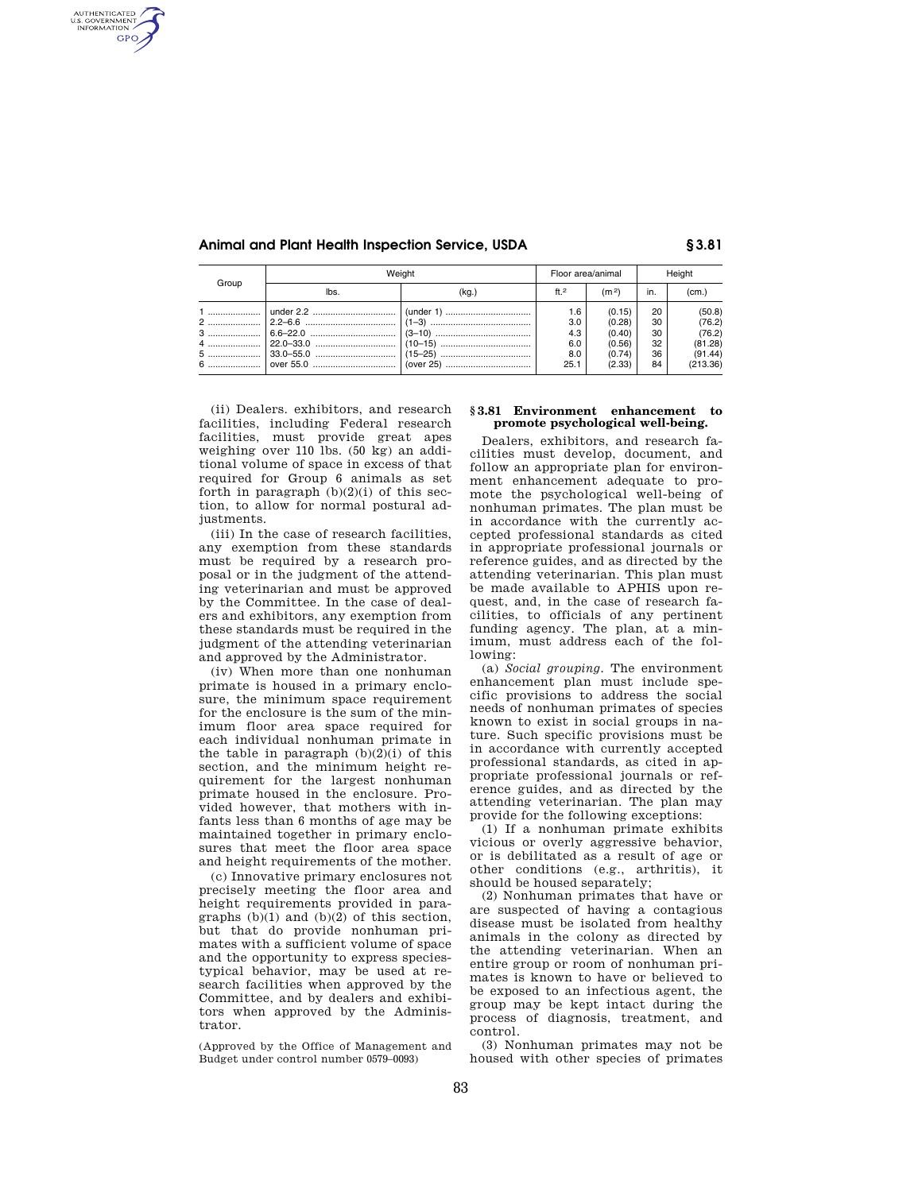AUTHENTICATED<br>U.S. GOVERNMENT<br>INFORMATION **GPO** 

## **Animal and Plant Health Inspection Service, USDA § 3.81**

| Group | Weiaht |       | Floor area/animal |                   | Height |          |
|-------|--------|-------|-------------------|-------------------|--------|----------|
|       | lbs.   | (kg.) | ft <sub>2</sub>   | (m <sup>2</sup> ) | in.    | (cm.)    |
|       |        |       | 1.6               | (0.15)            | 20     | (50.8)   |
|       |        |       | 3.0               | (0.28)            | 30     | (76.2)   |
|       |        |       | 4.3               | (0.40)            | 30     | (76.2)   |
|       |        |       | 6.0               | (0.56)            | 32     | (81.28)  |
|       |        |       | 8.0               | (0.74)            | 36     | (91.44)  |
|       |        |       | 25.1              | (2.33)            | 84     | (213.36) |

(ii) Dealers. exhibitors, and research facilities, including Federal research facilities, must provide great apes weighing over 110 lbs. (50 kg) an additional volume of space in excess of that required for Group 6 animals as set forth in paragraph  $(b)(2)(i)$  of this section, to allow for normal postural adjustments.

(iii) In the case of research facilities, any exemption from these standards must be required by a research proposal or in the judgment of the attending veterinarian and must be approved by the Committee. In the case of dealers and exhibitors, any exemption from these standards must be required in the judgment of the attending veterinarian and approved by the Administrator.

(iv) When more than one nonhuman primate is housed in a primary enclosure, the minimum space requirement for the enclosure is the sum of the minimum floor area space required for each individual nonhuman primate in the table in paragraph  $(b)(2)(i)$  of this section, and the minimum height requirement for the largest nonhuman primate housed in the enclosure. Provided however, that mothers with infants less than 6 months of age may be maintained together in primary enclosures that meet the floor area space and height requirements of the mother.

(c) Innovative primary enclosures not precisely meeting the floor area and height requirements provided in paragraphs  $(b)(1)$  and  $(b)(2)$  of this section, but that do provide nonhuman primates with a sufficient volume of space and the opportunity to express speciestypical behavior, may be used at research facilities when approved by the Committee, and by dealers and exhibitors when approved by the Administrator.

(Approved by the Office of Management and Budget under control number 0579–0093)

## **§ 3.81 Environment enhancement to promote psychological well-being.**

Dealers, exhibitors, and research facilities must develop, document, and follow an appropriate plan for environment enhancement adequate to promote the psychological well-being of nonhuman primates. The plan must be in accordance with the currently accepted professional standards as cited in appropriate professional journals or reference guides, and as directed by the attending veterinarian. This plan must be made available to APHIS upon request, and, in the case of research facilities, to officials of any pertinent funding agency. The plan, at a minimum, must address each of the following:

(a) *Social grouping.* The environment enhancement plan must include specific provisions to address the social needs of nonhuman primates of species known to exist in social groups in nature. Such specific provisions must be in accordance with currently accepted professional standards, as cited in appropriate professional journals or reference guides, and as directed by the attending veterinarian. The plan may provide for the following exceptions:

(1) If a nonhuman primate exhibits vicious or overly aggressive behavior, or is debilitated as a result of age or other conditions (e.g., arthritis), it should be housed separately;

(2) Nonhuman primates that have or are suspected of having a contagious disease must be isolated from healthy animals in the colony as directed by the attending veterinarian. When an entire group or room of nonhuman primates is known to have or believed to be exposed to an infectious agent, the group may be kept intact during the process of diagnosis, treatment, and control.

(3) Nonhuman primates may not be housed with other species of primates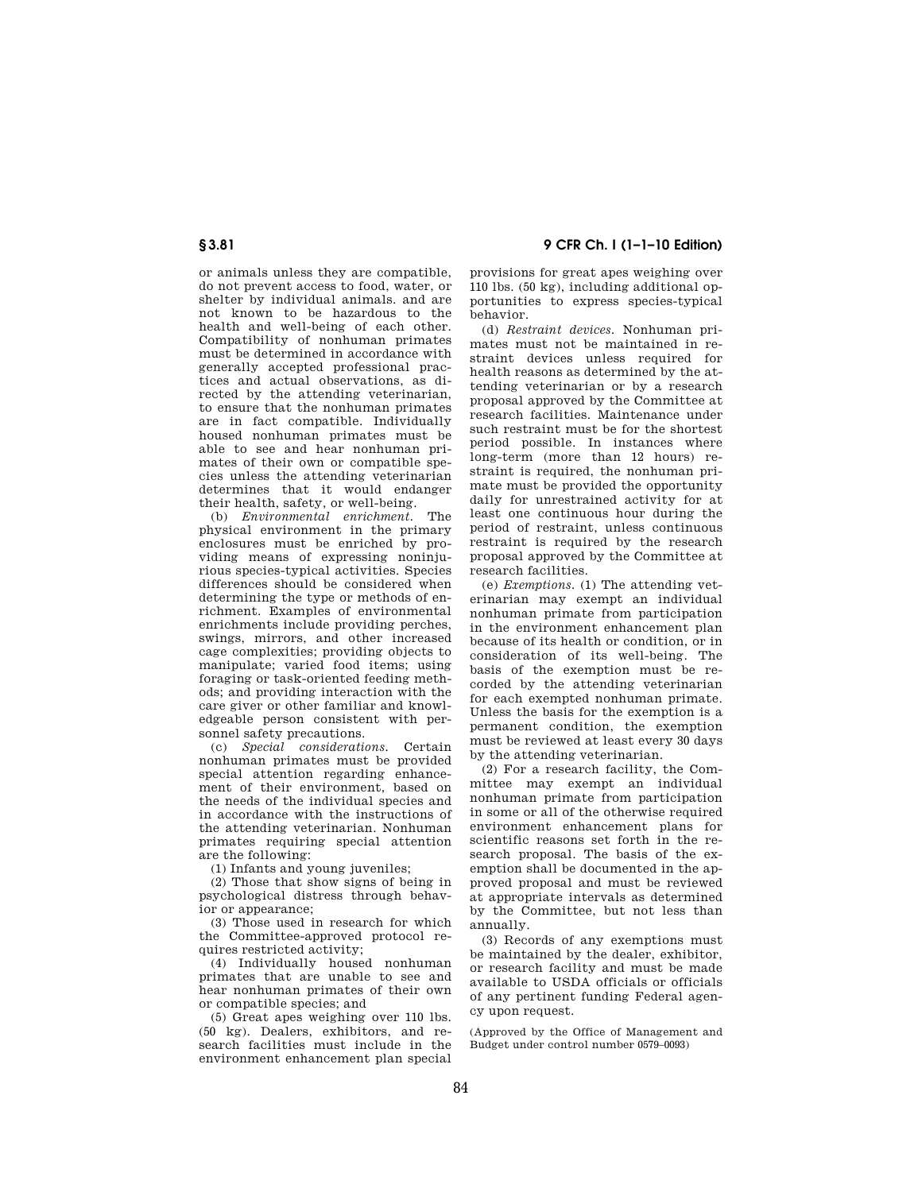**§ 3.81 9 CFR Ch. I (1–1–10 Edition)** 

or animals unless they are compatible, do not prevent access to food, water, or shelter by individual animals. and are not known to be hazardous to the health and well-being of each other. Compatibility of nonhuman primates must be determined in accordance with generally accepted professional practices and actual observations, as directed by the attending veterinarian, to ensure that the nonhuman primates are in fact compatible. Individually housed nonhuman primates must be able to see and hear nonhuman primates of their own or compatible species unless the attending veterinarian determines that it would endanger their health, safety, or well-being.

(b) *Environmental enrichment.* The physical environment in the primary enclosures must be enriched by providing means of expressing noninjurious species-typical activities. Species differences should be considered when determining the type or methods of enrichment. Examples of environmental enrichments include providing perches, swings, mirrors, and other increased cage complexities; providing objects to manipulate; varied food items; using foraging or task-oriented feeding methods; and providing interaction with the care giver or other familiar and knowledgeable person consistent with personnel safety precautions.

(c) *Special considerations.* Certain nonhuman primates must be provided special attention regarding enhancement of their environment, based on the needs of the individual species and in accordance with the instructions of the attending veterinarian. Nonhuman primates requiring special attention are the following:

(1) Infants and young juveniles;

(2) Those that show signs of being in psychological distress through behavior or appearance;

(3) Those used in research for which the Committee-approved protocol requires restricted activity;

(4) Individually housed nonhuman primates that are unable to see and hear nonhuman primates of their own or compatible species; and

(5) Great apes weighing over 110 lbs. (50 kg). Dealers, exhibitors, and research facilities must include in the environment enhancement plan special provisions for great apes weighing over 110 lbs. (50 kg), including additional opportunities to express species-typical behavior.

(d) *Restraint devices.* Nonhuman primates must not be maintained in restraint devices unless required for health reasons as determined by the attending veterinarian or by a research proposal approved by the Committee at research facilities. Maintenance under such restraint must be for the shortest period possible. In instances where long-term (more than 12 hours) restraint is required, the nonhuman primate must be provided the opportunity daily for unrestrained activity for at least one continuous hour during the period of restraint, unless continuous restraint is required by the research proposal approved by the Committee at research facilities.

(e) *Exemptions.* (1) The attending veterinarian may exempt an individual nonhuman primate from participation in the environment enhancement plan because of its health or condition, or in consideration of its well-being. The basis of the exemption must be recorded by the attending veterinarian for each exempted nonhuman primate. Unless the basis for the exemption is a permanent condition, the exemption must be reviewed at least every 30 days by the attending veterinarian.

(2) For a research facility, the Committee may exempt an individual nonhuman primate from participation in some or all of the otherwise required environment enhancement plans for scientific reasons set forth in the research proposal. The basis of the exemption shall be documented in the approved proposal and must be reviewed at appropriate intervals as determined by the Committee, but not less than annually.

(3) Records of any exemptions must be maintained by the dealer, exhibitor, or research facility and must be made available to USDA officials or officials of any pertinent funding Federal agency upon request.

(Approved by the Office of Management and Budget under control number 0579–0093)